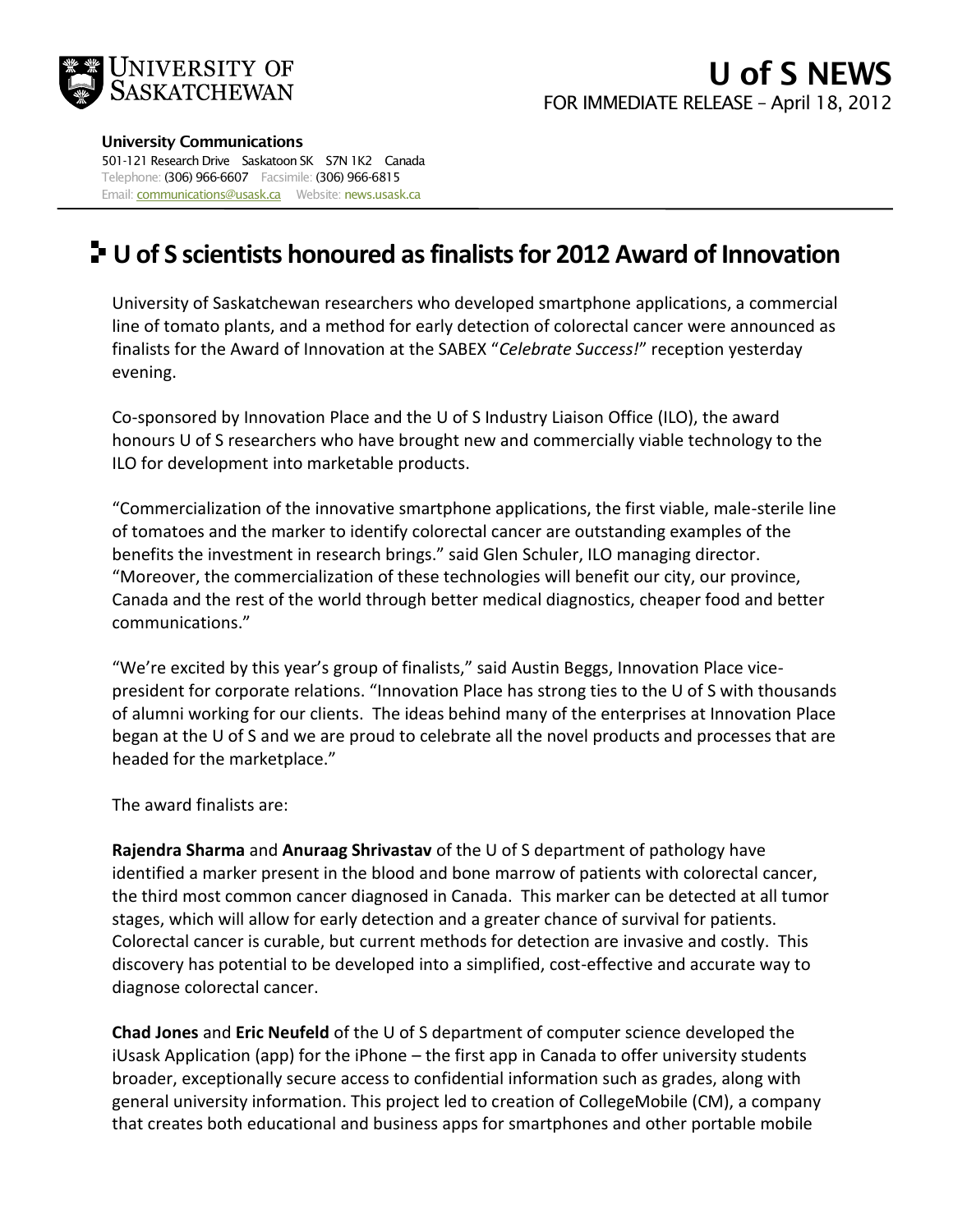

## **University Communications**

501-121 Research Drive Saskatoon SK S7N 1K2 Canada Telephone: (306) 966-6607 Facsimile: (306) 966-6815 Email: **communications@usask.ca** Website: news.usask.ca

## **U of S scientists honoured as finalists for 2012 Award of Innovation**

University of Saskatchewan researchers who developed smartphone applications, a commercial line of tomato plants, and a method for early detection of colorectal cancer were announced as finalists for the Award of Innovation at the SABEX "*Celebrate Success!*" reception yesterday evening.

Co-sponsored by Innovation Place and the U of S Industry Liaison Office (ILO), the award honours U of S researchers who have brought new and commercially viable technology to the ILO for development into marketable products.

"Commercialization of the innovative smartphone applications, the first viable, male-sterile line of tomatoes and the marker to identify colorectal cancer are outstanding examples of the benefits the investment in research brings." said Glen Schuler, ILO managing director. "Moreover, the commercialization of these technologies will benefit our city, our province, Canada and the rest of the world through better medical diagnostics, cheaper food and better communications."

"We're excited by this year's group of finalists," said Austin Beggs, Innovation Place vicepresident for corporate relations. "Innovation Place has strong ties to the U of S with thousands of alumni working for our clients. The ideas behind many of the enterprises at Innovation Place began at the U of S and we are proud to celebrate all the novel products and processes that are headed for the marketplace."

The award finalists are:

**Rajendra Sharma** and **Anuraag Shrivastav** of the U of S department of pathology have identified a marker present in the blood and bone marrow of patients with colorectal cancer, the third most common cancer diagnosed in Canada. This marker can be detected at all tumor stages, which will allow for early detection and a greater chance of survival for patients. Colorectal cancer is curable, but current methods for detection are invasive and costly. This discovery has potential to be developed into a simplified, cost-effective and accurate way to diagnose colorectal cancer.

**Chad Jones** and **Eric Neufeld** of the U of S department of computer science developed the iUsask Application (app) for the iPhone – the first app in Canada to offer university students broader, exceptionally secure access to confidential information such as grades, along with general university information. This project led to creation of CollegeMobile (CM), a company that creates both educational and business apps for smartphones and other portable mobile